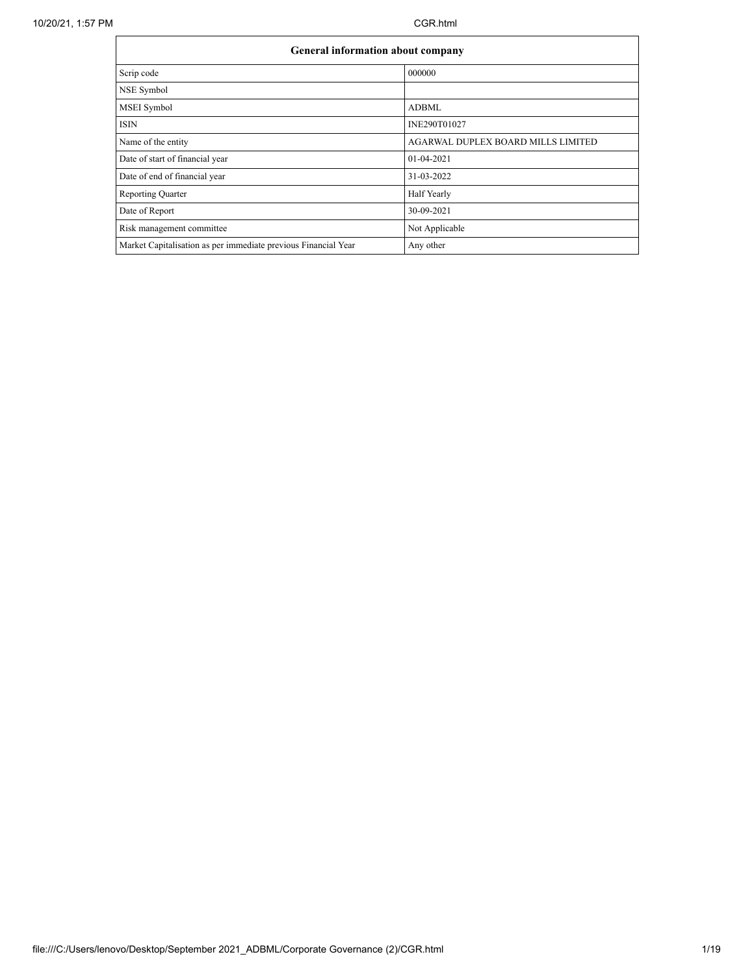$\mathbf{r}$ 

| <b>General information about company</b>                       |                                    |
|----------------------------------------------------------------|------------------------------------|
| Scrip code                                                     | 000000                             |
| NSE Symbol                                                     |                                    |
| <b>MSEI</b> Symbol                                             | <b>ADBML</b>                       |
| <b>ISIN</b>                                                    | INE290T01027                       |
| Name of the entity                                             | AGARWAL DUPLEX BOARD MILLS LIMITED |
| Date of start of financial year                                | $01-04-2021$                       |
| Date of end of financial year                                  | 31-03-2022                         |
| <b>Reporting Quarter</b>                                       | Half Yearly                        |
| Date of Report                                                 | 30-09-2021                         |
| Risk management committee                                      | Not Applicable                     |
| Market Capitalisation as per immediate previous Financial Year | Any other                          |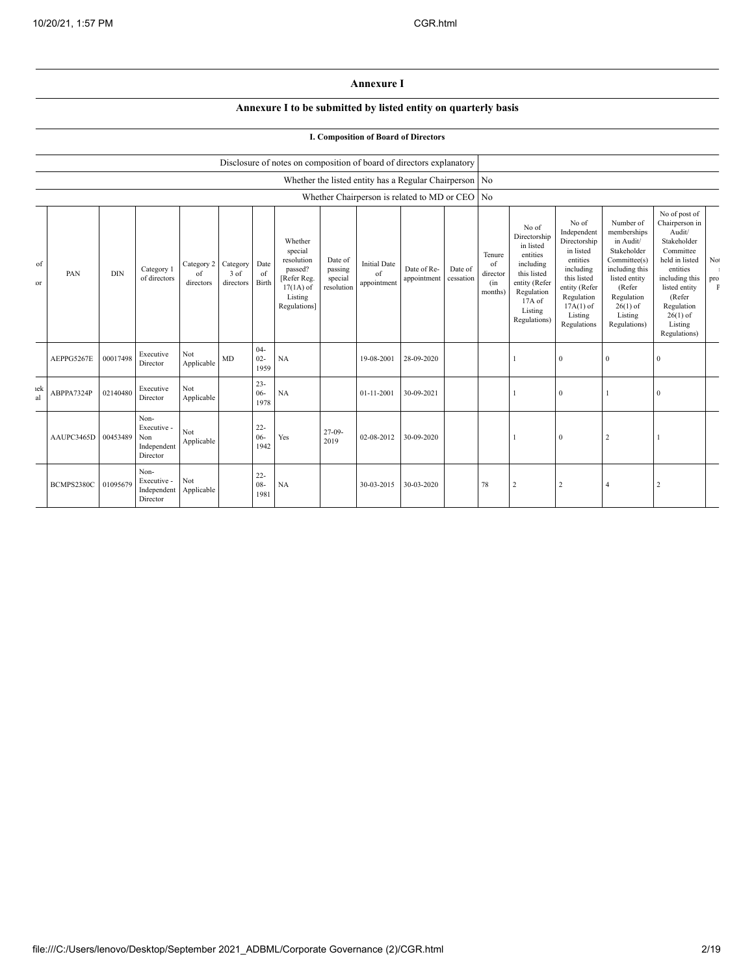## **Annexure I**

## **Annexure I to be submitted by listed entity on quarterly basis**

| I. Composition of Board of Directors |
|--------------------------------------|
|--------------------------------------|

|           |            |            |                                                       |                                        |                   |                          | Disclosure of notes on composition of board of directors explanatory                                 |                                             |                                          |                                                          |                      |                                            |                                                                                                                                                  |                                                                                                                                                                   |                                                                                                                                                                          |                                                                                                                                                                                                         |                            |
|-----------|------------|------------|-------------------------------------------------------|----------------------------------------|-------------------|--------------------------|------------------------------------------------------------------------------------------------------|---------------------------------------------|------------------------------------------|----------------------------------------------------------|----------------------|--------------------------------------------|--------------------------------------------------------------------------------------------------------------------------------------------------|-------------------------------------------------------------------------------------------------------------------------------------------------------------------|--------------------------------------------------------------------------------------------------------------------------------------------------------------------------|---------------------------------------------------------------------------------------------------------------------------------------------------------------------------------------------------------|----------------------------|
|           |            |            |                                                       |                                        |                   |                          |                                                                                                      |                                             |                                          | Whether the listed entity has a Regular Chairperson   No |                      |                                            |                                                                                                                                                  |                                                                                                                                                                   |                                                                                                                                                                          |                                                                                                                                                                                                         |                            |
|           |            |            |                                                       |                                        |                   |                          |                                                                                                      |                                             |                                          | Whether Chairperson is related to MD or CEO   No         |                      |                                            |                                                                                                                                                  |                                                                                                                                                                   |                                                                                                                                                                          |                                                                                                                                                                                                         |                            |
| of<br>or  | PAN        | <b>DIN</b> | Category 1<br>of directors                            | Category 2 Category<br>of<br>directors | 3 of<br>directors | Date<br>of<br>Birth      | Whether<br>special<br>resolution<br>passed?<br>[Refer Reg.<br>$17(1A)$ of<br>Listing<br>Regulations] | Date of<br>passing<br>special<br>resolution | <b>Initial Date</b><br>of<br>appointment | Date of Re-<br>appointment                               | Date of<br>cessation | Tenure<br>of<br>director<br>(in<br>months) | No of<br>Directorship<br>in listed<br>entities<br>including<br>this listed<br>entity (Refer<br>Regulation<br>$17A$ of<br>Listing<br>Regulations) | No of<br>Independent<br>Directorship<br>in listed<br>entities<br>including<br>this listed<br>entity (Refer<br>Regulation<br>$17A(1)$ of<br>Listing<br>Regulations | Number of<br>memberships<br>in Audit/<br>Stakeholder<br>Committee(s)<br>including this<br>listed entity<br>(Refer<br>Regulation<br>$26(1)$ of<br>Listing<br>Regulations) | No of post of<br>Chairperson in<br>Audit/<br>Stakeholder<br>Committee<br>held in listed<br>entities<br>including this<br>listed entity<br>(Refer<br>Regulation<br>$26(1)$ of<br>Listing<br>Regulations) | No.<br>pro<br>$\mathbf{F}$ |
|           | AEPPG5267E | 00017498   | Executive<br>Director                                 | Not<br>Applicable                      | MD                | $04 -$<br>$02 -$<br>1959 | NA                                                                                                   |                                             | 19-08-2001                               | 28-09-2020                                               |                      |                                            |                                                                                                                                                  | $\mathbf{0}$                                                                                                                                                      | $\theta$                                                                                                                                                                 | $\overline{0}$                                                                                                                                                                                          |                            |
| ıek<br>al | ABPPA7324P | 02140480   | Executive<br>Director                                 | Not<br>Applicable                      |                   | $23 -$<br>$06 -$<br>1978 | NA                                                                                                   |                                             | 01-11-2001                               | 30-09-2021                                               |                      |                                            |                                                                                                                                                  | $\mathbf{0}$                                                                                                                                                      |                                                                                                                                                                          | $\overline{0}$                                                                                                                                                                                          |                            |
|           | AAUPC3465D | 00453489   | Non-<br>Executive -<br>Non<br>Independent<br>Director | Not<br>Applicable                      |                   | $22 -$<br>$06 -$<br>1942 | Yes                                                                                                  | $27-09-$<br>2019                            | 02-08-2012                               | 30-09-2020                                               |                      |                                            |                                                                                                                                                  | $\mathbf{0}$                                                                                                                                                      | 2                                                                                                                                                                        |                                                                                                                                                                                                         |                            |
|           | BCMPS2380C | 01095679   | Non-<br>Executive -<br>Independent<br>Director        | Not<br>Applicable                      |                   | $22 -$<br>$08 -$<br>1981 | NA                                                                                                   |                                             | 30-03-2015                               | 30-03-2020                                               |                      | 78                                         | 2                                                                                                                                                | 2                                                                                                                                                                 |                                                                                                                                                                          | $\overline{2}$                                                                                                                                                                                          |                            |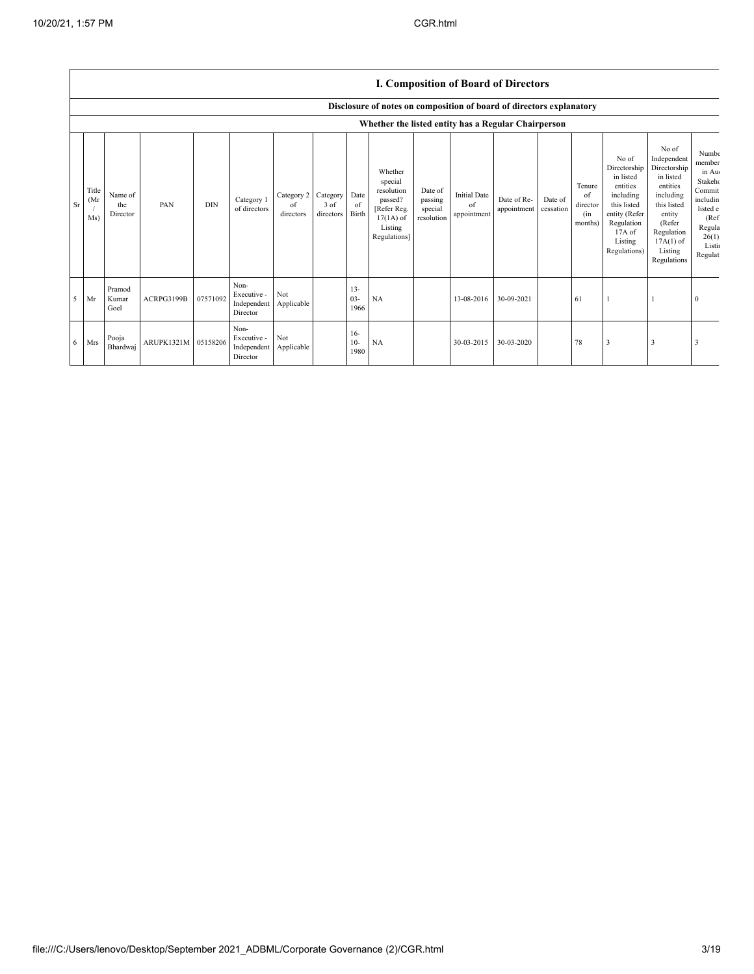|    |                                                                      | <b>1. Composition of Board of Directors</b> |                     |            |                                                |                               |                                    |                          |                                                                                                      |                                             |                                          |                            |                      |                                            |                                                                                                                                                |                                                                                                                                                                      |                                                                                                                               |
|----|----------------------------------------------------------------------|---------------------------------------------|---------------------|------------|------------------------------------------------|-------------------------------|------------------------------------|--------------------------|------------------------------------------------------------------------------------------------------|---------------------------------------------|------------------------------------------|----------------------------|----------------------|--------------------------------------------|------------------------------------------------------------------------------------------------------------------------------------------------|----------------------------------------------------------------------------------------------------------------------------------------------------------------------|-------------------------------------------------------------------------------------------------------------------------------|
|    | Disclosure of notes on composition of board of directors explanatory |                                             |                     |            |                                                |                               |                                    |                          |                                                                                                      |                                             |                                          |                            |                      |                                            |                                                                                                                                                |                                                                                                                                                                      |                                                                                                                               |
|    | Whether the listed entity has a Regular Chairperson                  |                                             |                     |            |                                                |                               |                                    |                          |                                                                                                      |                                             |                                          |                            |                      |                                            |                                                                                                                                                |                                                                                                                                                                      |                                                                                                                               |
| Sr | Title<br>(Mr)<br>Ms)                                                 | Name of<br>the<br>Director                  | PAN                 | <b>DIN</b> | Category 1<br>of directors                     | Category 2<br>of<br>directors | Category Date<br>3 of<br>directors | of<br>Birth              | Whether<br>special<br>resolution<br>passed?<br>[Refer Reg.<br>$17(1A)$ of<br>Listing<br>Regulations] | Date of<br>passing<br>special<br>resolution | <b>Initial Date</b><br>of<br>appointment | Date of Re-<br>appointment | Date of<br>cessation | Tenure<br>of<br>director<br>(in<br>months) | No of<br>Directorship<br>in listed<br>entities<br>including<br>this listed<br>entity (Refer<br>Regulation<br>17A of<br>Listing<br>Regulations) | No of<br>Independent<br>Directorship<br>in listed<br>entities<br>including<br>this listed<br>entity<br>(Refer<br>Regulation<br>$17A(1)$ of<br>Listing<br>Regulations | <b>Numbe</b><br>member<br>in Au<br>Stakeho<br>Commit<br>includin<br>listed e<br>(Ref)<br>Regula<br>26(1)<br>Listin<br>Regulat |
| 5  | Mr                                                                   | Pramod<br>Kumar<br>Goel                     | ACRPG3199B          | 07571092   | Non-<br>Executive -<br>Independent<br>Director | Not<br>Applicable             |                                    | $13 -$<br>$03 -$<br>1966 | NA                                                                                                   |                                             | 13-08-2016                               | 30-09-2021                 |                      | -61                                        |                                                                                                                                                |                                                                                                                                                                      | $\mathbf{0}$                                                                                                                  |
| 6  | Mrs                                                                  | Pooja<br>Bhardwaj                           | ARUPK1321M 05158206 |            | Non-<br>Executive -<br>Independent<br>Director | Not<br>Applicable             |                                    | $16-$<br>$10-$<br>1980   | NA                                                                                                   |                                             | 30-03-2015                               | 30-03-2020                 |                      | 78                                         |                                                                                                                                                | 3                                                                                                                                                                    |                                                                                                                               |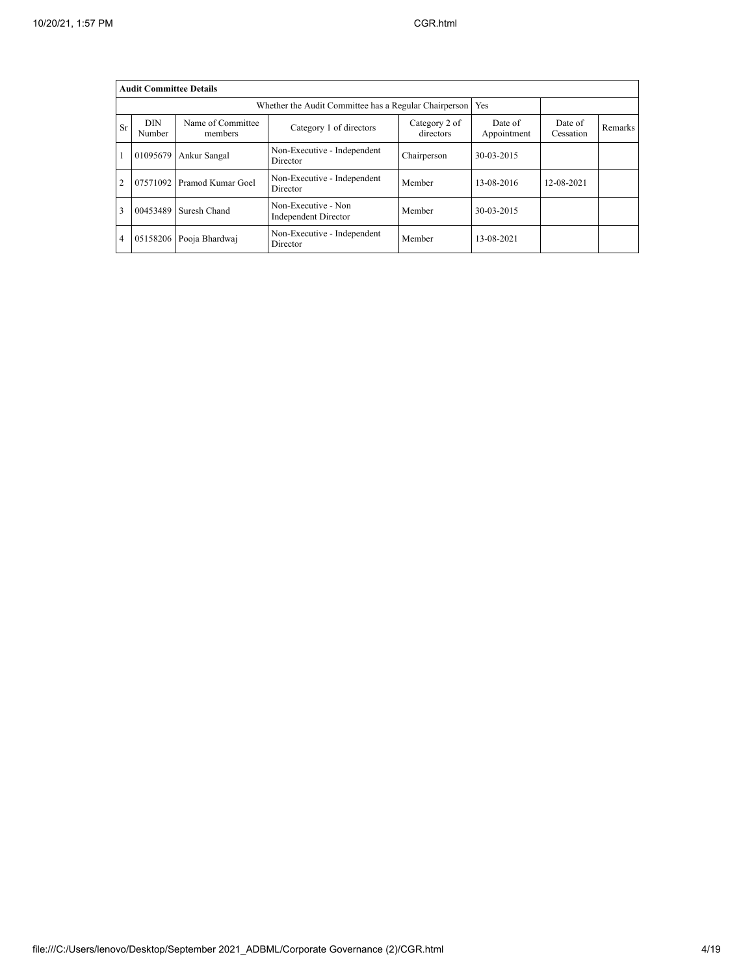|                |                      | <b>Audit Committee Details</b> |                                                       |                            |                        |                      |                |
|----------------|----------------------|--------------------------------|-------------------------------------------------------|----------------------------|------------------------|----------------------|----------------|
|                |                      |                                | Whether the Audit Committee has a Regular Chairperson |                            | Yes                    |                      |                |
| Sr             | <b>DIN</b><br>Number | Name of Committee<br>members   | Category 1 of directors                               | Category 2 of<br>directors | Date of<br>Appointment | Date of<br>Cessation | <b>Remarks</b> |
|                | 01095679             | Ankur Sangal                   | Non-Executive - Independent<br>Director               | Chairperson                | 30-03-2015             |                      |                |
| $\mathfrak{D}$ | 07571092             | Pramod Kumar Goel              | Non-Executive - Independent<br>Director               | Member                     | 13-08-2016             | 12-08-2021           |                |
| 3              | 00453489             | Suresh Chand                   | Non-Executive - Non<br><b>Independent Director</b>    | Member                     | 30-03-2015             |                      |                |
| 4              | 05158206             | Pooja Bhardwaj                 | Non-Executive - Independent<br>Director               | Member                     | 13-08-2021             |                      |                |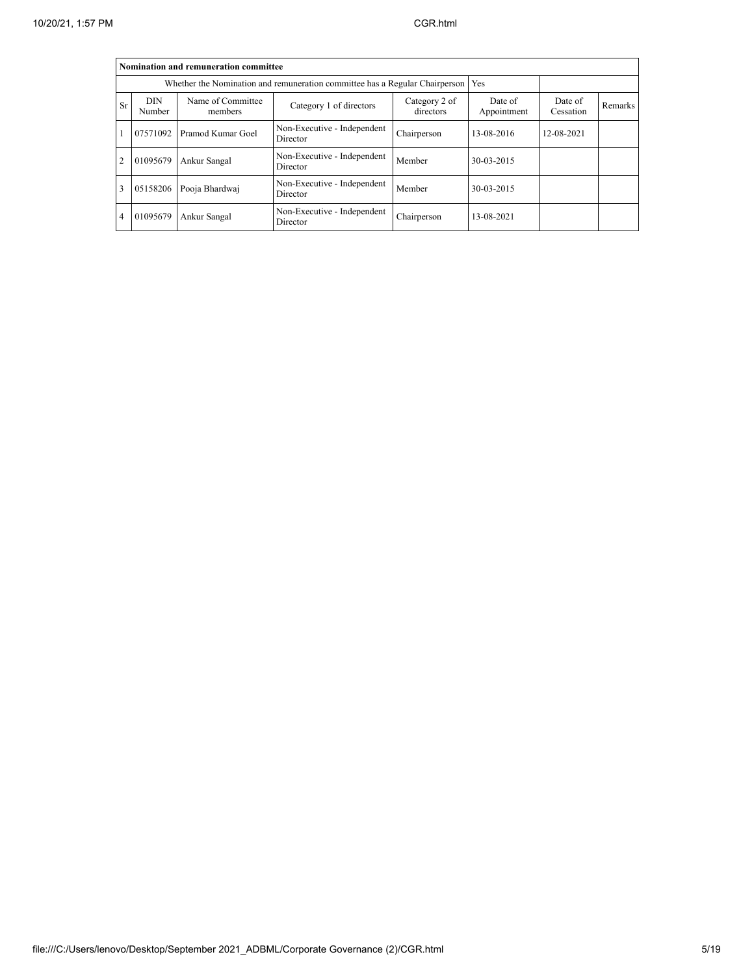|                | Nomination and remuneration committee                                       |                              |                                         |                      |                |            |  |  |  |  |  |  |  |
|----------------|-----------------------------------------------------------------------------|------------------------------|-----------------------------------------|----------------------|----------------|------------|--|--|--|--|--|--|--|
|                | Whether the Nomination and remuneration committee has a Regular Chairperson |                              |                                         |                      |                |            |  |  |  |  |  |  |  |
| <b>Sr</b>      | <b>DIN</b><br>Number                                                        | Name of Committee<br>members | Date of<br>Appointment                  | Date of<br>Cessation | <b>Remarks</b> |            |  |  |  |  |  |  |  |
|                | 07571092                                                                    | Pramod Kumar Goel            | Non-Executive - Independent<br>Director | Chairperson          | 13-08-2016     | 12-08-2021 |  |  |  |  |  |  |  |
| 2              | 01095679                                                                    | Ankur Sangal                 | Non-Executive - Independent<br>Director | Member               | 30-03-2015     |            |  |  |  |  |  |  |  |
| 3              | 05158206                                                                    | Pooja Bhardwaj               | Non-Executive - Independent<br>Director | Member               | 30-03-2015     |            |  |  |  |  |  |  |  |
| $\overline{4}$ | 01095679                                                                    | Ankur Sangal                 | Non-Executive - Independent<br>Director | Chairperson          | 13-08-2021     |            |  |  |  |  |  |  |  |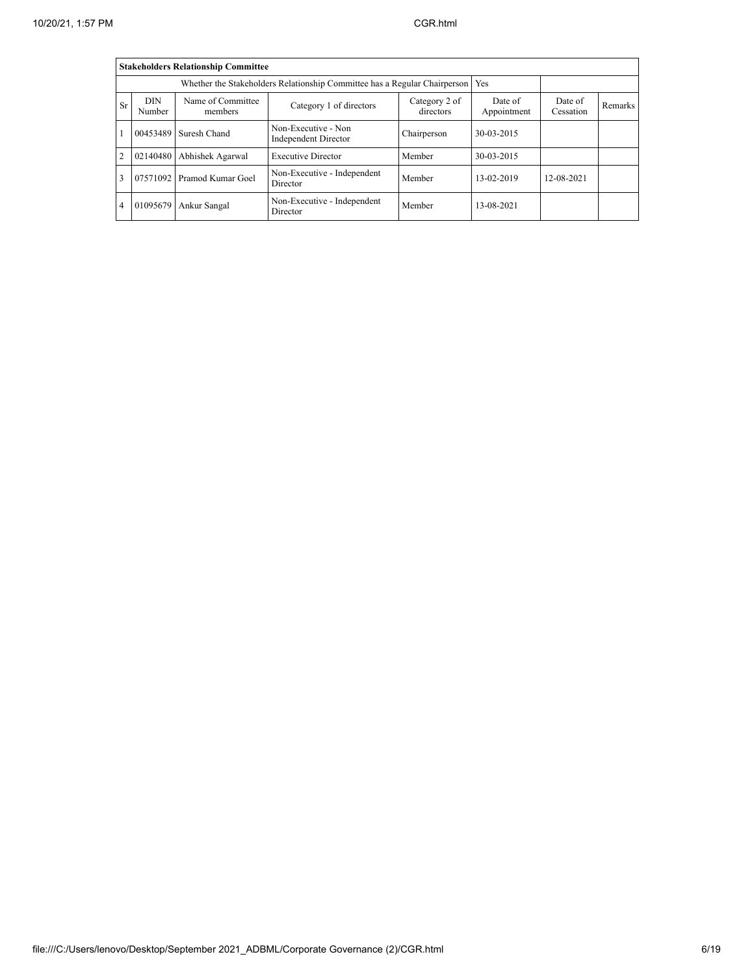|                |                                                                                  | <b>Stakeholders Relationship Committee</b> |                                                    |                            |                        |                      |                |  |  |  |  |  |  |
|----------------|----------------------------------------------------------------------------------|--------------------------------------------|----------------------------------------------------|----------------------------|------------------------|----------------------|----------------|--|--|--|--|--|--|
|                | Whether the Stakeholders Relationship Committee has a Regular Chairperson<br>Yes |                                            |                                                    |                            |                        |                      |                |  |  |  |  |  |  |
| <b>Sr</b>      | <b>DIN</b><br>Number                                                             | Name of Committee<br>members               | Category 1 of directors                            | Category 2 of<br>directors | Date of<br>Appointment | Date of<br>Cessation | <b>Remarks</b> |  |  |  |  |  |  |
|                | 00453489                                                                         | Suresh Chand                               | Non-Executive - Non<br><b>Independent Director</b> | Chairperson                | 30-03-2015             |                      |                |  |  |  |  |  |  |
| $\overline{2}$ | 02140480                                                                         | Abhishek Agarwal                           | <b>Executive Director</b>                          | Member                     | 30-03-2015             |                      |                |  |  |  |  |  |  |
| 3              | 07571092                                                                         | Pramod Kumar Goel                          | Non-Executive - Independent<br>Director            | Member                     | 13-02-2019             | 12-08-2021           |                |  |  |  |  |  |  |
| 4              | 01095679                                                                         | Ankur Sangal                               | Non-Executive - Independent<br>Director            | Member                     | 13-08-2021             |                      |                |  |  |  |  |  |  |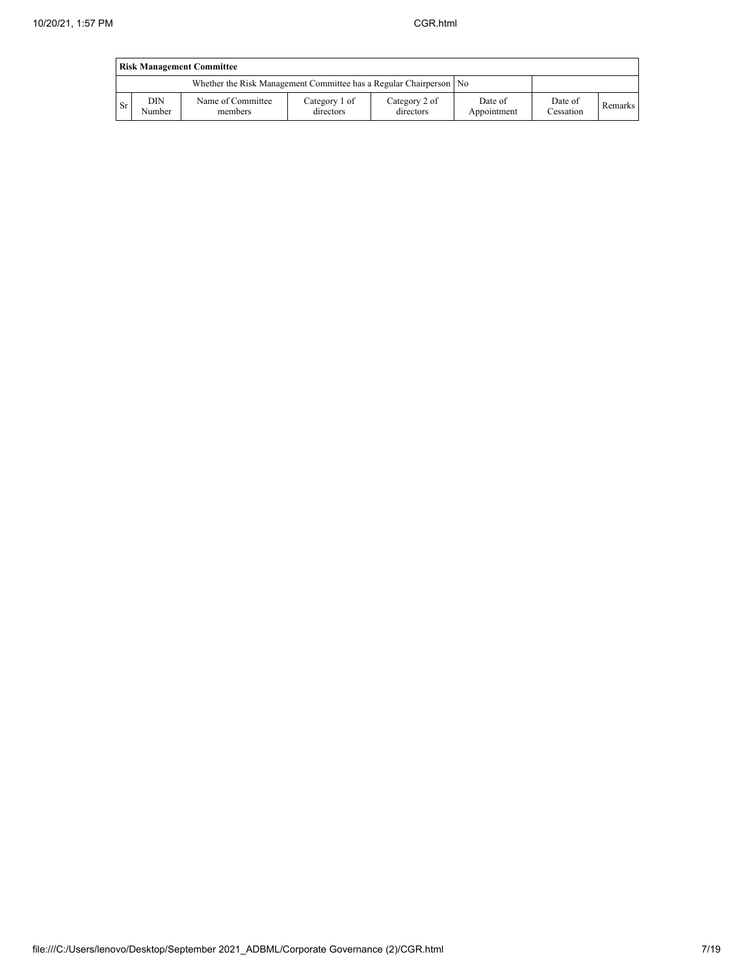|     | <b>Risk Management Committee</b> |                                                                    |                            |                            |                        |                      |                |  |  |  |  |  |  |  |
|-----|----------------------------------|--------------------------------------------------------------------|----------------------------|----------------------------|------------------------|----------------------|----------------|--|--|--|--|--|--|--|
|     |                                  | Whether the Risk Management Committee has a Regular Chairperson No |                            |                            |                        |                      |                |  |  |  |  |  |  |  |
| -Sr | DIN<br>Number                    | Name of Committee<br>members                                       | Category 1 of<br>directors | Category 2 of<br>directors | Date of<br>Appointment | Date of<br>Cessation | <b>Remarks</b> |  |  |  |  |  |  |  |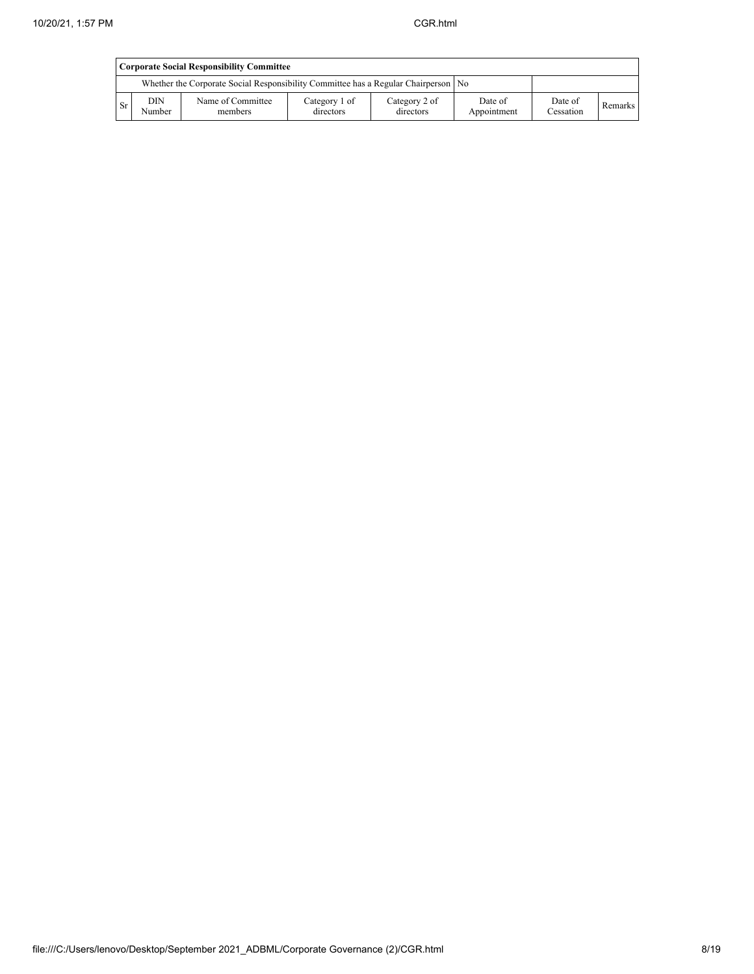|      | <b>Corporate Social Responsibility Committee</b> |                                                                                      |                            |                            |                        |                      |         |  |  |  |  |  |  |
|------|--------------------------------------------------|--------------------------------------------------------------------------------------|----------------------------|----------------------------|------------------------|----------------------|---------|--|--|--|--|--|--|
|      |                                                  | Whether the Corporate Social Responsibility Committee has a Regular Chairperson   No |                            |                            |                        |                      |         |  |  |  |  |  |  |
| - Sr | <b>DIN</b><br>Number                             | Name of Committee<br>members                                                         | Category 1 of<br>directors | Category 2 of<br>directors | Date of<br>Appointment | Date of<br>Cessation | Remarks |  |  |  |  |  |  |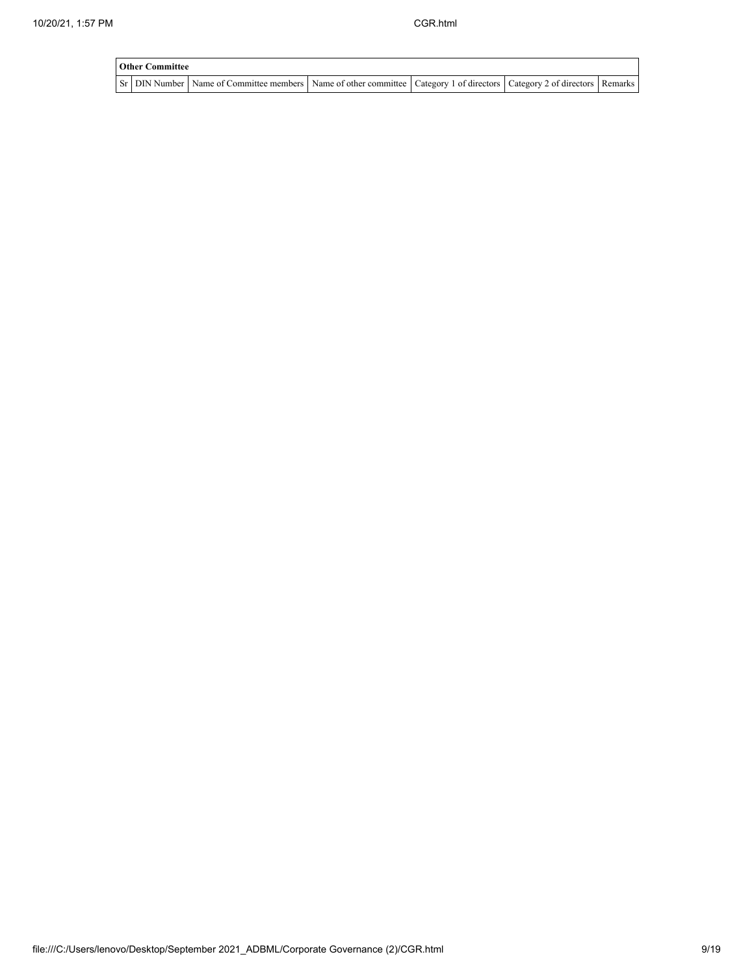| <b>Other Committee</b> |                                                                                                                                     |  |  |
|------------------------|-------------------------------------------------------------------------------------------------------------------------------------|--|--|
|                        | Sr   DIN Number   Name of Committee members   Name of other committee   Category 1 of directors   Category 2 of directors   Remarks |  |  |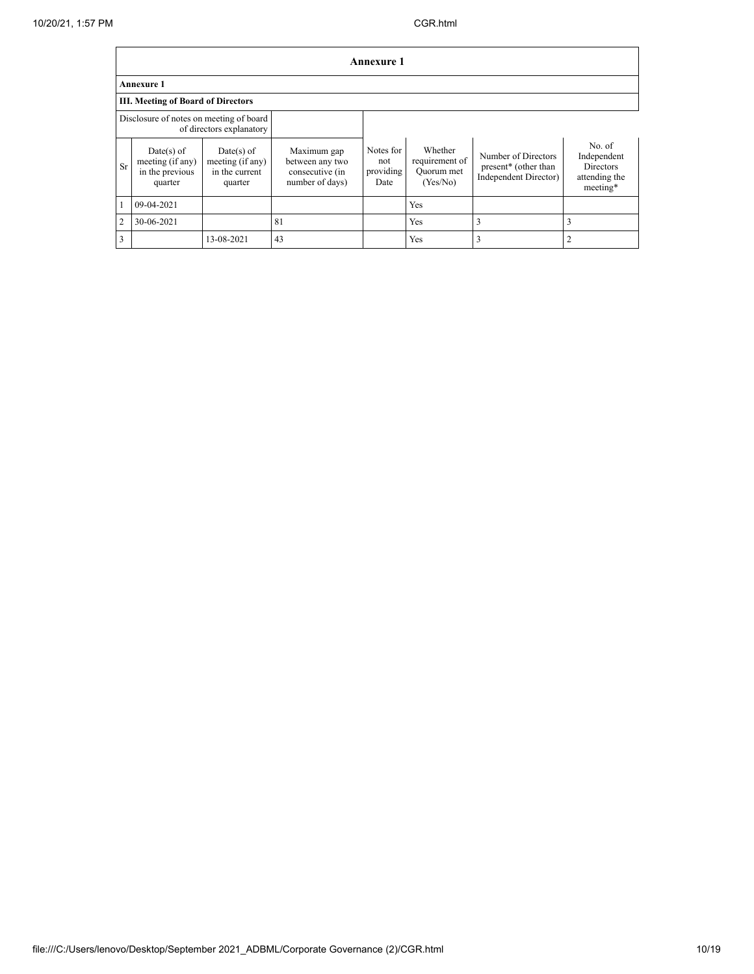|           | <b>Annexure 1</b>                                            |                                                               |                                                                      |                                       |                                                     |                                                                                  |                                                                 |  |  |  |  |  |  |
|-----------|--------------------------------------------------------------|---------------------------------------------------------------|----------------------------------------------------------------------|---------------------------------------|-----------------------------------------------------|----------------------------------------------------------------------------------|-----------------------------------------------------------------|--|--|--|--|--|--|
|           | <b>Annexure 1</b>                                            |                                                               |                                                                      |                                       |                                                     |                                                                                  |                                                                 |  |  |  |  |  |  |
|           | <b>III. Meeting of Board of Directors</b>                    |                                                               |                                                                      |                                       |                                                     |                                                                                  |                                                                 |  |  |  |  |  |  |
|           | Disclosure of notes on meeting of board                      | of directors explanatory                                      |                                                                      |                                       |                                                     |                                                                                  |                                                                 |  |  |  |  |  |  |
| <b>Sr</b> | Date(s) of<br>meeting (if any)<br>in the previous<br>quarter | $Date(s)$ of<br>meeting (if any)<br>in the current<br>quarter | Maximum gap<br>between any two<br>consecutive (in<br>number of days) | Notes for<br>not<br>providing<br>Date | Whether<br>requirement of<br>Ouorum met<br>(Yes/No) | Number of Directors<br>present <sup>*</sup> (other than<br>Independent Director) | No. of<br>Independent<br>Directors<br>attending the<br>meeting* |  |  |  |  |  |  |
|           | 09-04-2021                                                   |                                                               |                                                                      |                                       | Yes                                                 |                                                                                  |                                                                 |  |  |  |  |  |  |
| 2         | 30-06-2021                                                   |                                                               | 81                                                                   |                                       | Yes                                                 | 3                                                                                |                                                                 |  |  |  |  |  |  |
| 3         |                                                              | 13-08-2021                                                    | 43                                                                   |                                       | Yes                                                 | $\overline{3}$                                                                   |                                                                 |  |  |  |  |  |  |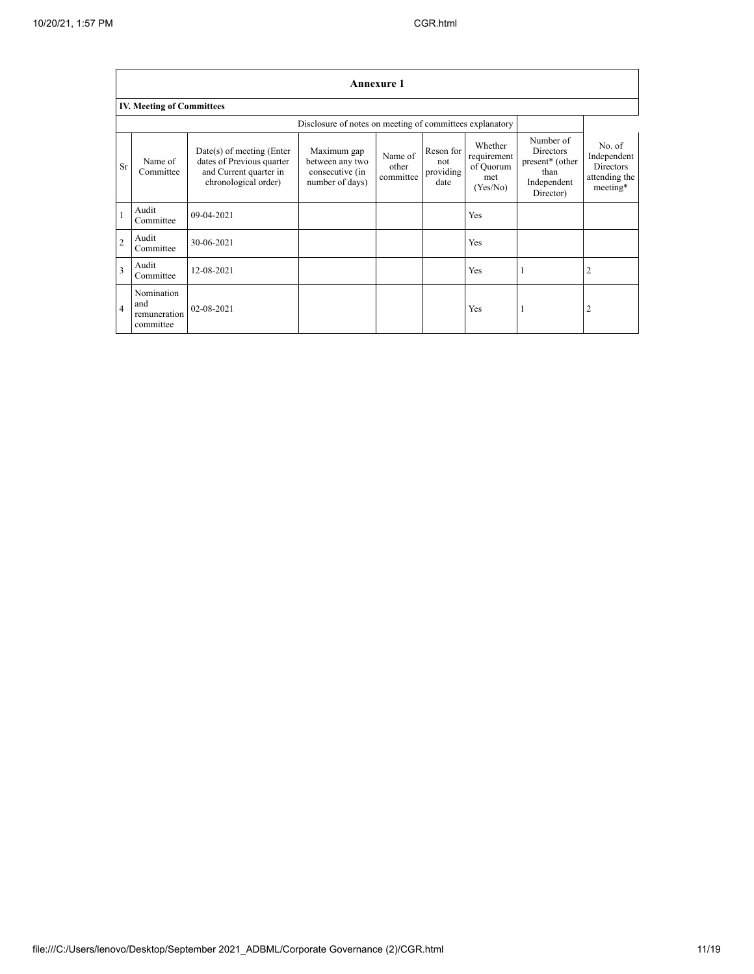|                         | <b>Annexure 1</b>                              |                                                                                                            |                                                                      |                               |                                       |                                                        |                                                                                                  |                                                                        |  |  |  |  |
|-------------------------|------------------------------------------------|------------------------------------------------------------------------------------------------------------|----------------------------------------------------------------------|-------------------------------|---------------------------------------|--------------------------------------------------------|--------------------------------------------------------------------------------------------------|------------------------------------------------------------------------|--|--|--|--|
|                         | <b>IV. Meeting of Committees</b>               |                                                                                                            |                                                                      |                               |                                       |                                                        |                                                                                                  |                                                                        |  |  |  |  |
|                         |                                                |                                                                                                            |                                                                      |                               |                                       |                                                        |                                                                                                  |                                                                        |  |  |  |  |
| <b>Sr</b>               | Name of<br>Committee                           | $Date(s)$ of meeting (Enter<br>dates of Previous quarter<br>and Current quarter in<br>chronological order) | Maximum gap<br>between any two<br>consecutive (in<br>number of days) | Name of<br>other<br>committee | Reson for<br>not<br>providing<br>date | Whether<br>requirement<br>of Quorum<br>met<br>(Yes/No) | Number of<br><b>Directors</b><br>present <sup>*</sup> (other<br>than<br>Independent<br>Director) | No. of<br>Independent<br><b>Directors</b><br>attending the<br>meeting* |  |  |  |  |
| $\mathbf{1}$            | Audit<br>Committee                             | 09-04-2021                                                                                                 |                                                                      |                               |                                       | Yes                                                    |                                                                                                  |                                                                        |  |  |  |  |
| $\overline{c}$          | Audit<br>Committee                             | 30-06-2021                                                                                                 |                                                                      |                               |                                       | Yes                                                    |                                                                                                  |                                                                        |  |  |  |  |
| $\overline{\mathbf{3}}$ | Audit<br>Committee                             | 12-08-2021                                                                                                 |                                                                      |                               |                                       | Yes                                                    |                                                                                                  | $\overline{2}$                                                         |  |  |  |  |
| $\overline{4}$          | Nomination<br>and<br>remuneration<br>committee | 02-08-2021                                                                                                 |                                                                      |                               |                                       | Yes                                                    |                                                                                                  | 2                                                                      |  |  |  |  |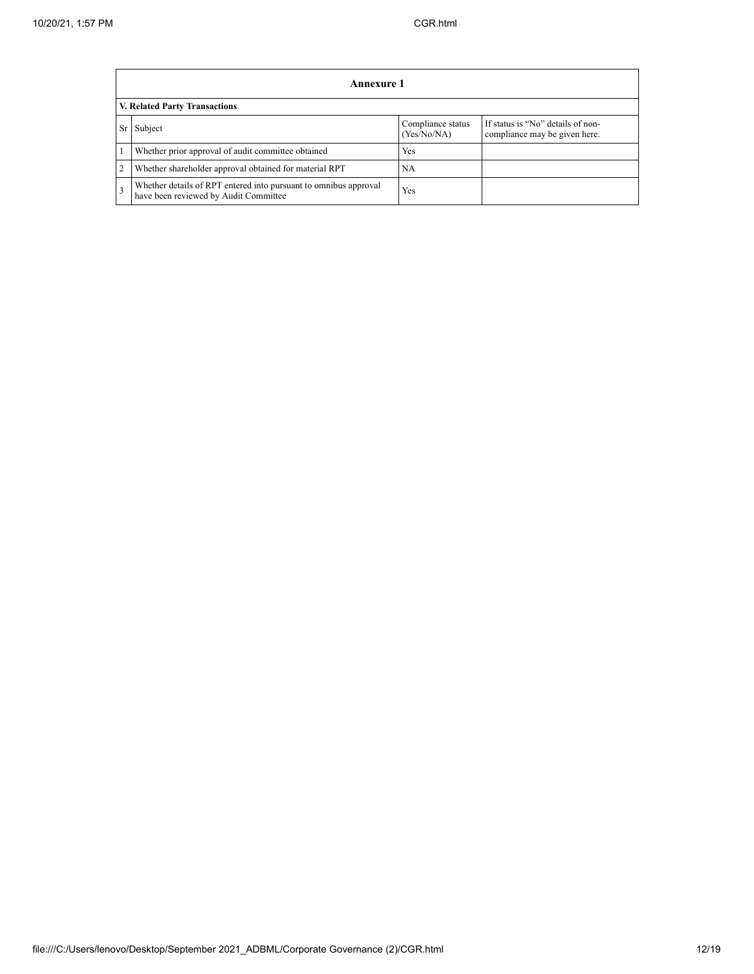|                | Annexure 1                                                                                                |                                  |                                                                    |  |
|----------------|-----------------------------------------------------------------------------------------------------------|----------------------------------|--------------------------------------------------------------------|--|
|                | <b>V. Related Party Transactions</b>                                                                      |                                  |                                                                    |  |
| Sr             | Subject                                                                                                   | Compliance status<br>(Yes/No/NA) | If status is "No" details of non-<br>compliance may be given here. |  |
|                | Whether prior approval of audit committee obtained                                                        | Yes                              |                                                                    |  |
| $\overline{c}$ | Whether shareholder approval obtained for material RPT                                                    | <b>NA</b>                        |                                                                    |  |
| 3              | Whether details of RPT entered into pursuant to omnibus approval<br>have been reviewed by Audit Committee | Yes                              |                                                                    |  |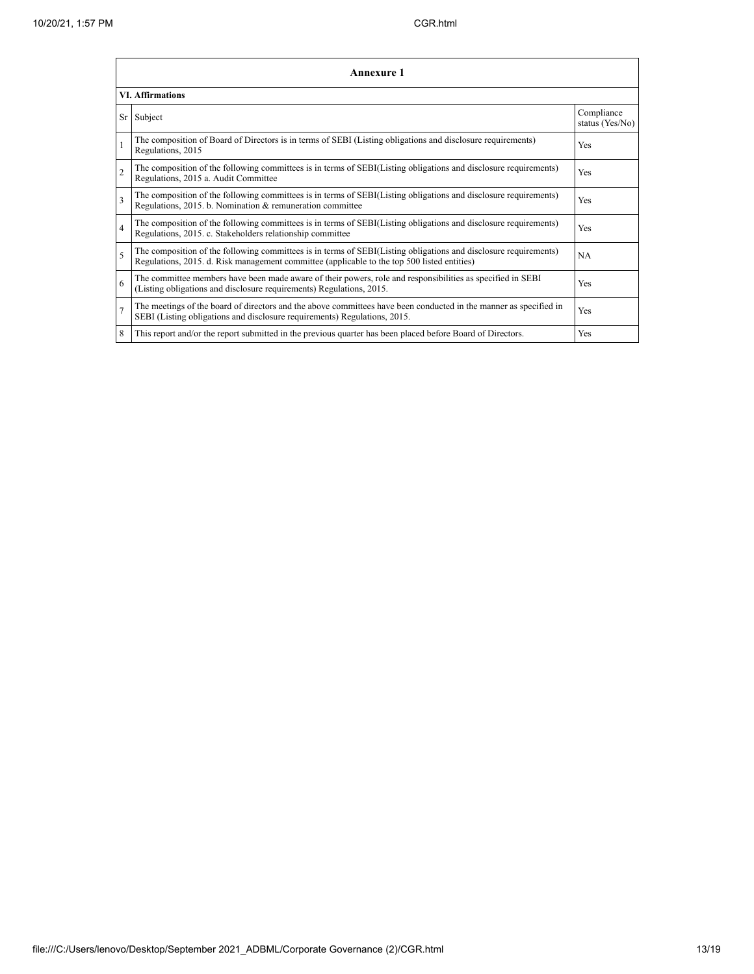|                          | Annexure 1                                                                                                                                                                                                      |                               |  |  |
|--------------------------|-----------------------------------------------------------------------------------------------------------------------------------------------------------------------------------------------------------------|-------------------------------|--|--|
|                          | <b>VI.</b> Affirmations                                                                                                                                                                                         |                               |  |  |
| Sr                       | Subject                                                                                                                                                                                                         | Compliance<br>status (Yes/No) |  |  |
| 1                        | The composition of Board of Directors is in terms of SEBI (Listing obligations and disclosure requirements)<br>Regulations, 2015                                                                                | Yes                           |  |  |
| $\overline{\mathcal{L}}$ | The composition of the following committees is in terms of SEBI(Listing obligations and disclosure requirements)<br>Regulations, 2015 a. Audit Committee                                                        | Yes                           |  |  |
| $\mathbf{3}$             | The composition of the following committees is in terms of SEBI(Listing obligations and disclosure requirements)<br>Regulations, 2015. b. Nomination & remuneration committee                                   | Yes                           |  |  |
| $\overline{4}$           | The composition of the following committees is in terms of SEBI(Listing obligations and disclosure requirements)<br>Regulations, 2015. c. Stakeholders relationship committee                                   | Yes                           |  |  |
| 5                        | The composition of the following committees is in terms of SEBI(Listing obligations and disclosure requirements)<br>Regulations, 2015. d. Risk management committee (applicable to the top 500 listed entities) | <b>NA</b>                     |  |  |
| 6                        | The committee members have been made aware of their powers, role and responsibilities as specified in SEBI<br>(Listing obligations and disclosure requirements) Regulations, 2015.                              | Yes                           |  |  |
| $\overline{7}$           | The meetings of the board of directors and the above committees have been conducted in the manner as specified in<br>SEBI (Listing obligations and disclosure requirements) Regulations, 2015.                  | Yes                           |  |  |
| 8                        | This report and/or the report submitted in the previous quarter has been placed before Board of Directors.                                                                                                      | Yes                           |  |  |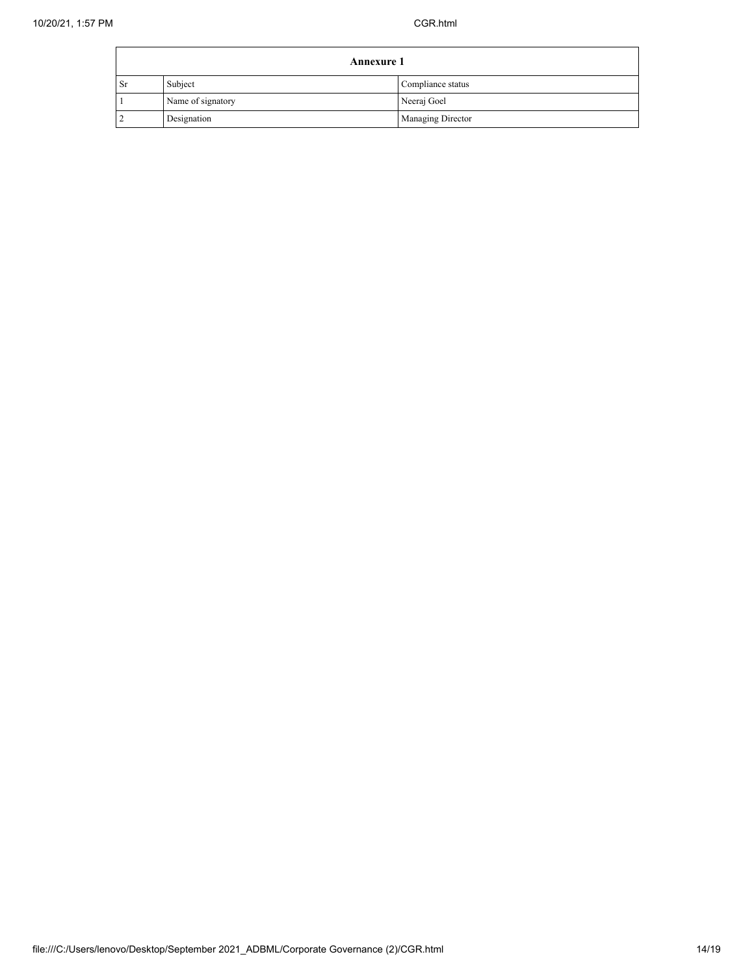| <b>Annexure 1</b> |                   |                          |
|-------------------|-------------------|--------------------------|
| ∣ Sr              | Subject           | Compliance status        |
|                   | Name of signatory | Neeraj Goel              |
|                   | Designation       | <b>Managing Director</b> |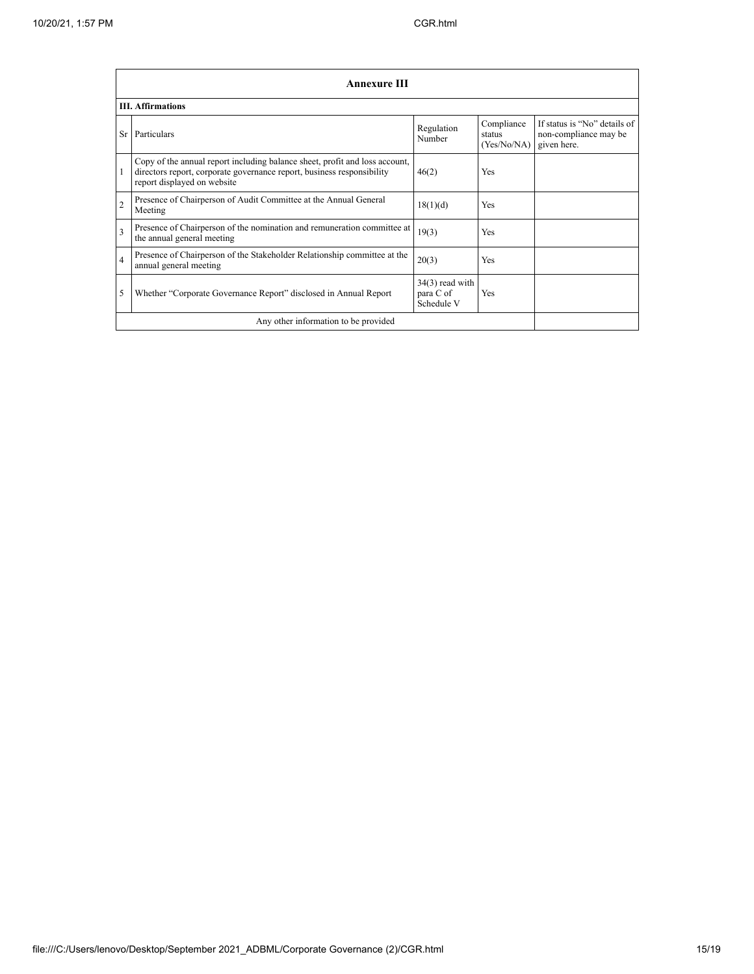|                | <b>Annexure III</b>                                                                                                                                                                  |                                              |                                     |                                                                      |
|----------------|--------------------------------------------------------------------------------------------------------------------------------------------------------------------------------------|----------------------------------------------|-------------------------------------|----------------------------------------------------------------------|
|                | <b>III.</b> Affirmations                                                                                                                                                             |                                              |                                     |                                                                      |
| <b>Sr</b>      | Particulars                                                                                                                                                                          | Regulation<br>Number                         | Compliance<br>status<br>(Yes/No/NA) | If status is "No" details of<br>non-compliance may be<br>given here. |
| 1              | Copy of the annual report including balance sheet, profit and loss account,<br>directors report, corporate governance report, business responsibility<br>report displayed on website | 46(2)                                        | <b>Yes</b>                          |                                                                      |
| $\overline{2}$ | Presence of Chairperson of Audit Committee at the Annual General<br>Meeting                                                                                                          | 18(1)(d)                                     | <b>Yes</b>                          |                                                                      |
| 3              | Presence of Chairperson of the nomination and remuneration committee at<br>the annual general meeting                                                                                | 19(3)                                        | Yes                                 |                                                                      |
| $\overline{4}$ | Presence of Chairperson of the Stakeholder Relationship committee at the<br>annual general meeting                                                                                   | 20(3)                                        | <b>Yes</b>                          |                                                                      |
| 5              | Whether "Corporate Governance Report" disclosed in Annual Report                                                                                                                     | $34(3)$ read with<br>para C of<br>Schedule V | <b>Yes</b>                          |                                                                      |
|                | Any other information to be provided                                                                                                                                                 |                                              |                                     |                                                                      |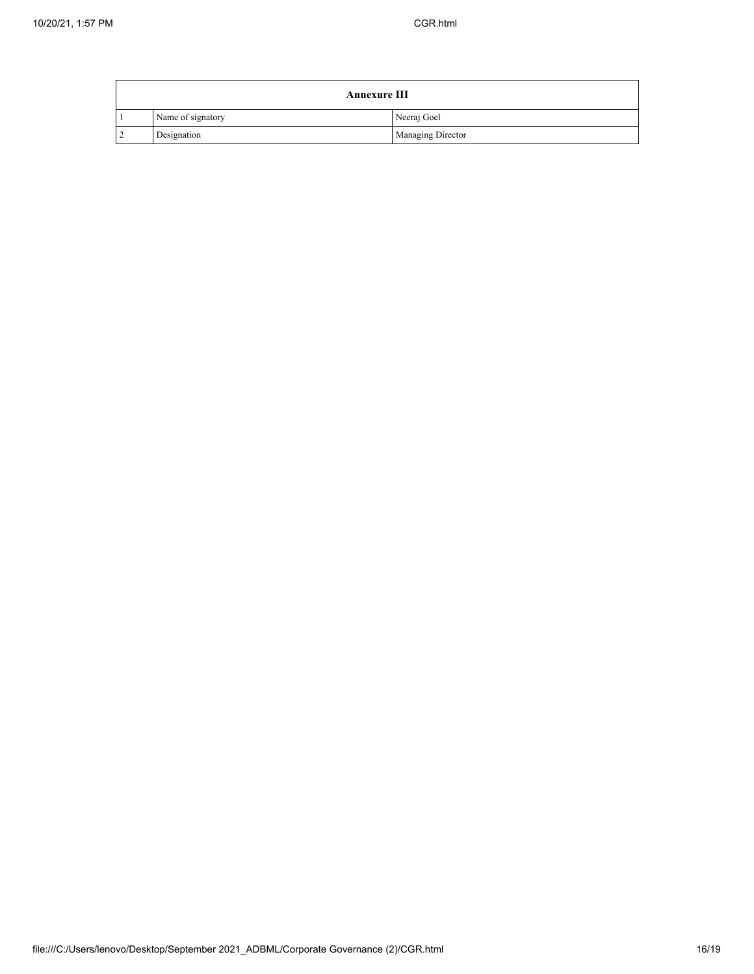| <b>Annexure III</b> |                   |                          |
|---------------------|-------------------|--------------------------|
|                     | Name of signatory | Neeraj Goel              |
|                     | Designation       | <b>Managing Director</b> |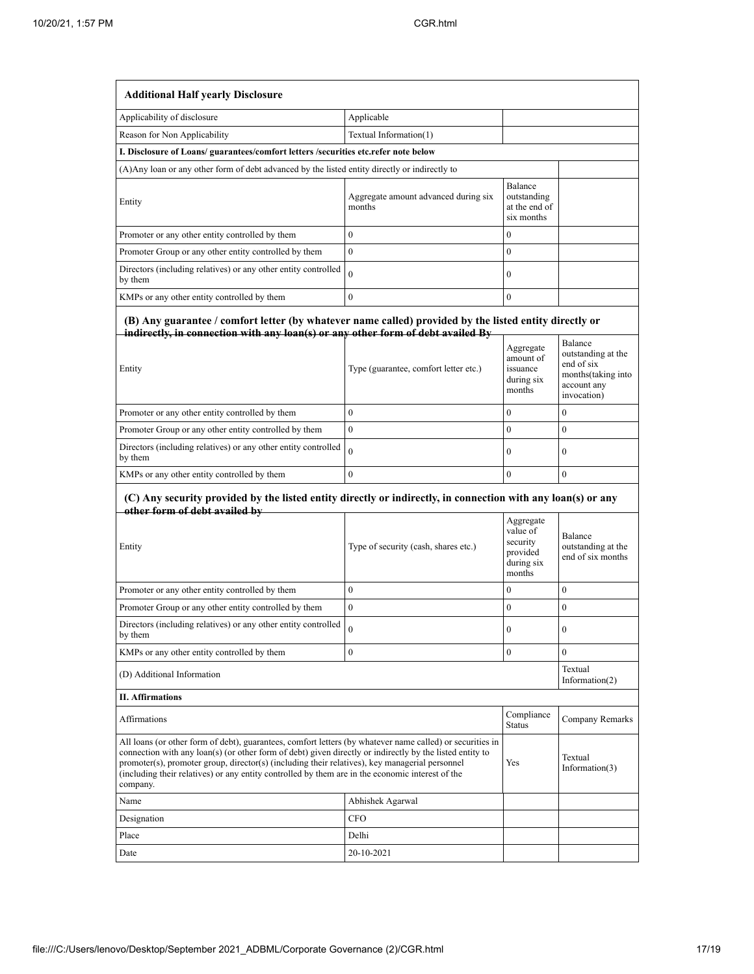| <b>Additional Half yearly Disclosure</b>                                                                                                                                                                                                                                                                                                                                                                                                |                                                |                                                                       |                                                                                                  |
|-----------------------------------------------------------------------------------------------------------------------------------------------------------------------------------------------------------------------------------------------------------------------------------------------------------------------------------------------------------------------------------------------------------------------------------------|------------------------------------------------|-----------------------------------------------------------------------|--------------------------------------------------------------------------------------------------|
| Applicability of disclosure                                                                                                                                                                                                                                                                                                                                                                                                             | Applicable                                     |                                                                       |                                                                                                  |
| Reason for Non Applicability                                                                                                                                                                                                                                                                                                                                                                                                            | Textual Information(1)                         |                                                                       |                                                                                                  |
| I. Disclosure of Loans/ guarantees/comfort letters /securities etc.refer note below                                                                                                                                                                                                                                                                                                                                                     |                                                |                                                                       |                                                                                                  |
| (A) Any loan or any other form of debt advanced by the listed entity directly or indirectly to                                                                                                                                                                                                                                                                                                                                          |                                                |                                                                       |                                                                                                  |
| Entity                                                                                                                                                                                                                                                                                                                                                                                                                                  | Aggregate amount advanced during six<br>months | Balance<br>outstanding<br>at the end of<br>six months                 |                                                                                                  |
| Promoter or any other entity controlled by them                                                                                                                                                                                                                                                                                                                                                                                         | $\mathbf{0}$                                   | $\mathbf{0}$                                                          |                                                                                                  |
| Promoter Group or any other entity controlled by them                                                                                                                                                                                                                                                                                                                                                                                   | $\mathbf{0}$                                   | $\mathbf{0}$                                                          |                                                                                                  |
| Directors (including relatives) or any other entity controlled<br>by them                                                                                                                                                                                                                                                                                                                                                               | $\theta$                                       | $\mathbf{0}$                                                          |                                                                                                  |
| KMPs or any other entity controlled by them                                                                                                                                                                                                                                                                                                                                                                                             | $\mathbf{0}$                                   | $\mathbf{0}$                                                          |                                                                                                  |
| (B) Any guarantee / comfort letter (by whatever name called) provided by the listed entity directly or<br>indirectly, in connection with any loan(s) or any other form of debt availed By<br>Entity                                                                                                                                                                                                                                     | Type (guarantee, comfort letter etc.)          | Aggregate<br>amount of<br>issuance<br>during six<br>months            | Balance<br>outstanding at the<br>end of six<br>months (taking into<br>account any<br>invocation) |
| Promoter or any other entity controlled by them                                                                                                                                                                                                                                                                                                                                                                                         | $\mathbf{0}$                                   | $\mathbf{0}$                                                          | $\mathbf{0}$                                                                                     |
| Promoter Group or any other entity controlled by them                                                                                                                                                                                                                                                                                                                                                                                   | $\mathbf{0}$                                   | $\mathbf{0}$                                                          | $\mathbf{0}$                                                                                     |
| Directors (including relatives) or any other entity controlled<br>by them                                                                                                                                                                                                                                                                                                                                                               | $\theta$                                       | $\mathbf{0}$                                                          | $\mathbf{0}$                                                                                     |
| KMPs or any other entity controlled by them                                                                                                                                                                                                                                                                                                                                                                                             | $\mathbf{0}$                                   | $\mathbf{0}$                                                          | $\mathbf{0}$                                                                                     |
| (C) Any security provided by the listed entity directly or indirectly, in connection with any loan(s) or any<br>other form of debt availed by                                                                                                                                                                                                                                                                                           |                                                |                                                                       |                                                                                                  |
| Entity                                                                                                                                                                                                                                                                                                                                                                                                                                  | Type of security (cash, shares etc.)           | Aggregate<br>value of<br>security<br>provided<br>during six<br>months | Balance<br>outstanding at the<br>end of six months                                               |
| Promoter or any other entity controlled by them                                                                                                                                                                                                                                                                                                                                                                                         | $\boldsymbol{0}$                               | $\mathbf{0}$                                                          | $\boldsymbol{0}$                                                                                 |
| Promoter Group or any other entity controlled by them                                                                                                                                                                                                                                                                                                                                                                                   | $\mathbf{0}$                                   | $\mathbf{0}$                                                          | $\mathbf{0}$                                                                                     |
| Directors (including relatives) or any other entity controlled<br>by them                                                                                                                                                                                                                                                                                                                                                               | $\boldsymbol{0}$                               | 0                                                                     | $\boldsymbol{0}$                                                                                 |
| KMPs or any other entity controlled by them                                                                                                                                                                                                                                                                                                                                                                                             | $\mathbf{0}$                                   | $\mathbf{0}$                                                          | $\mathbf{0}$                                                                                     |
| (D) Additional Information                                                                                                                                                                                                                                                                                                                                                                                                              |                                                |                                                                       | Textual<br>Information $(2)$                                                                     |
| <b>II. Affirmations</b>                                                                                                                                                                                                                                                                                                                                                                                                                 |                                                |                                                                       |                                                                                                  |
| Affirmations                                                                                                                                                                                                                                                                                                                                                                                                                            |                                                | Compliance<br><b>Status</b>                                           | Company Remarks                                                                                  |
| All loans (or other form of debt), guarantees, comfort letters (by whatever name called) or securities in<br>connection with any loan(s) (or other form of debt) given directly or indirectly by the listed entity to<br>promoter(s), promoter group, director(s) (including their relatives), key managerial personnel<br>(including their relatives) or any entity controlled by them are in the economic interest of the<br>company. |                                                | Yes                                                                   | Textual<br>Information(3)                                                                        |
| Name                                                                                                                                                                                                                                                                                                                                                                                                                                    | Abhishek Agarwal                               |                                                                       |                                                                                                  |
| Designation                                                                                                                                                                                                                                                                                                                                                                                                                             | <b>CFO</b>                                     |                                                                       |                                                                                                  |
| Place                                                                                                                                                                                                                                                                                                                                                                                                                                   | Delhi                                          |                                                                       |                                                                                                  |
| Date                                                                                                                                                                                                                                                                                                                                                                                                                                    | 20-10-2021                                     |                                                                       |                                                                                                  |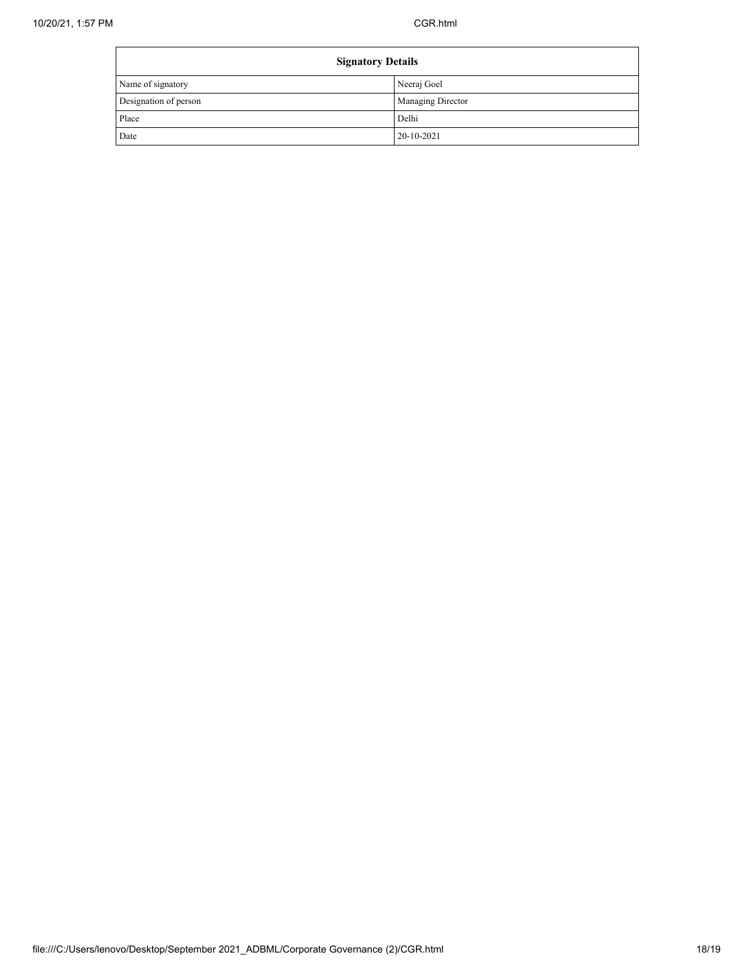| <b>Signatory Details</b> |                          |
|--------------------------|--------------------------|
| Name of signatory        | Neeraj Goel              |
| Designation of person    | <b>Managing Director</b> |
| Place                    | Delhi                    |
| Date                     | $20-10-2021$             |